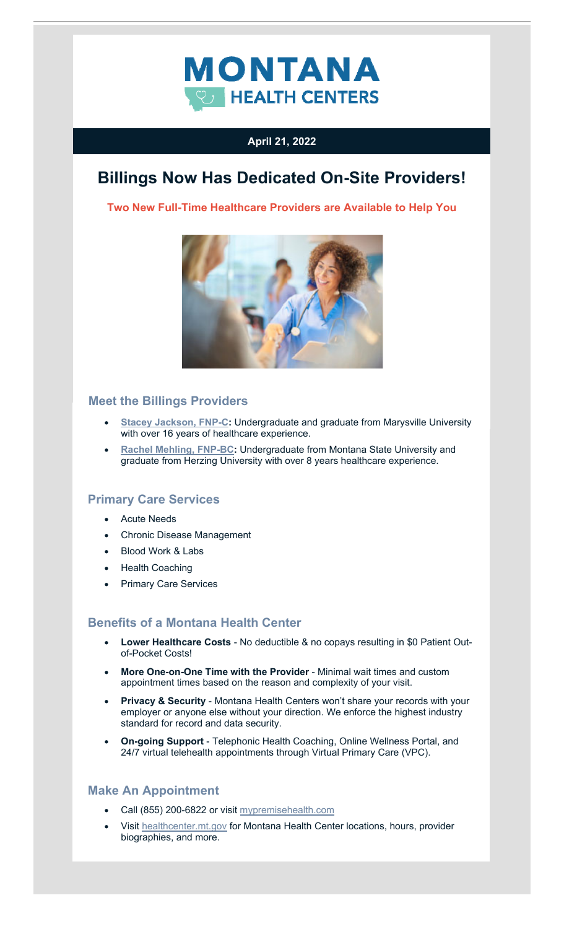

## **April 21, 2022**

# **Billings Now Has Dedicated On-Site Providers!**

**Two New Full-Time Healthcare Providers are Available to Help You** 



## **Meet the Billings Providers**

- **[Stacey Jackson, FNP-C:](https://healthcenter.mt.gov/Billings)** Undergraduate and graduate from Marysville University with over 16 years of healthcare experience.
- **[Rachel Mehling, FNP-BC:](https://healthcenter.mt.gov/Billings) Undergraduate from Montana State University and** graduate from Herzing University with over 8 years healthcare experience.

### **Primary Care Services**

- Acute Needs
- Chronic Disease Management
- Blood Work & Labs
- Health Coaching
- Primary Care Services

### **Benefits of a Montana Health Center**

- **Lower Healthcare Costs**  No deductible & no copays resulting in \$0 Patient Outof-Pocket Costs!
- **More One-on-One Time with the Provider**  Minimal wait times and custom appointment times based on the reason and complexity of your visit.
- **Privacy & Security**  Montana Health Centers won't share your records with your employer or anyone else without your direction. We enforce the highest industry standard for record and data security.
- **On-going Support**  Telephonic Health Coaching, Online Wellness Portal, and 24/7 virtual telehealth appointments through Virtual Primary Care (VPC).

#### **Make An Appointment**

- Call (855) 200-6822 or visi[t mypremisehealth.com](https://www.mypremisehealth.com/MyChart/Authentication/Login?)
- Visi[t healthcenter.mt.gov f](https://healthcenter.mt.gov/index)or Montana Health Center locations, hours, provider biographies, and more.